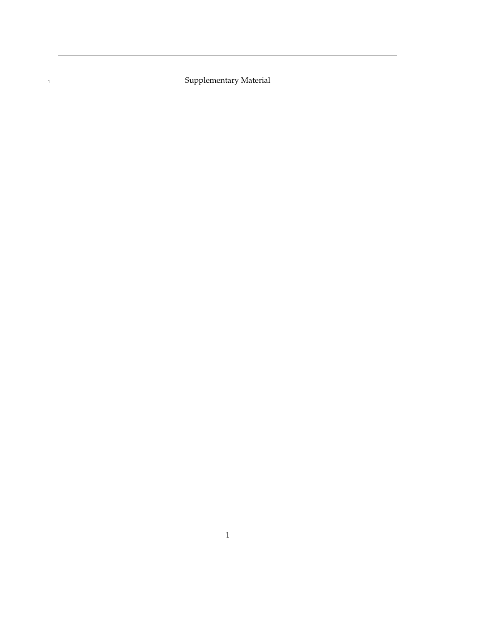Supplementary Material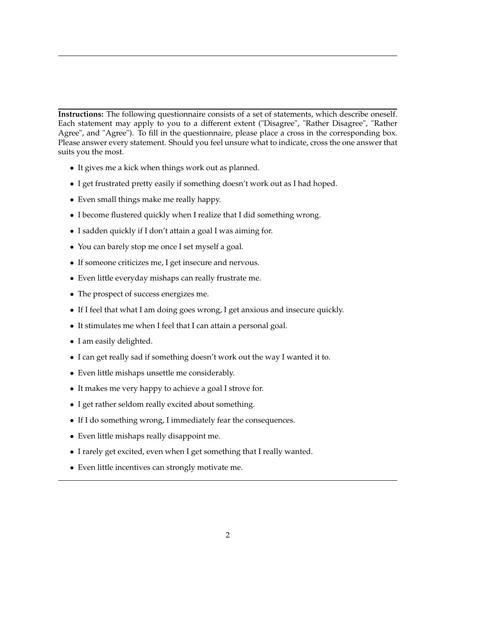**Instructions:** The following questionnaire consists of a set of statements, which describe oneself. Each statement may apply to you to a different extent ("Disagree", "Rather Disagree", "Rather Agree", and "Agree"). To fill in the questionnaire, please place a cross in the corresponding box. Please answer every statement. Should you feel unsure what to indicate, cross the one answer that suits you the most.

- It gives me a kick when things work out as planned.
- I get frustrated pretty easily if something doesn't work out as I had hoped.
- Even small things make me really happy.
- I become flustered quickly when I realize that I did something wrong.
- I sadden quickly if I don't attain a goal I was aiming for.
- You can barely stop me once I set myself a goal.
- If someone criticizes me, I get insecure and nervous.
- Even little everyday mishaps can really frustrate me.
- The prospect of success energizes me.
- If I feel that what I am doing goes wrong, I get anxious and insecure quickly.
- It stimulates me when I feel that I can attain a personal goal.
- I am easily delighted.
- I can get really sad if something doesn't work out the way I wanted it to.
- Even little mishaps unsettle me considerably.
- It makes me very happy to achieve a goal I strove for.
- I get rather seldom really excited about something.
- If I do something wrong, I immediately fear the consequences.
- Even little mishaps really disappoint me.
- I rarely get excited, even when I get something that I really wanted.
- Even little incentives can strongly motivate me.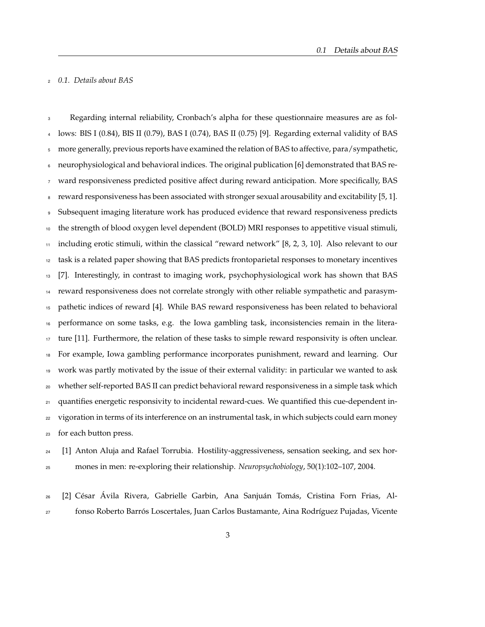## *0.1. Details about BAS*

 Regarding internal reliability, Cronbach's alpha for these questionnaire measures are as fol- lows: BIS I (0.84), BIS II (0.79), BAS I (0.74), BAS II (0.75) [9]. Regarding external validity of BAS more generally, previous reports have examined the relation of BAS to affective, para/sympathetic, neurophysiological and behavioral indices. The original publication [6] demonstrated that BAS re- ward responsiveness predicted positive affect during reward anticipation. More specifically, BAS reward responsiveness has been associated with stronger sexual arousability and excitability [5, 1]. Subsequent imaging literature work has produced evidence that reward responsiveness predicts the strength of blood oxygen level dependent (BOLD) MRI responses to appetitive visual stimuli, including erotic stimuli, within the classical "reward network" [8, 2, 3, 10]. Also relevant to our task is a related paper showing that BAS predicts frontoparietal responses to monetary incentives [7]. Interestingly, in contrast to imaging work, psychophysiological work has shown that BAS reward responsiveness does not correlate strongly with other reliable sympathetic and parasym- pathetic indices of reward [4]. While BAS reward responsiveness has been related to behavioral performance on some tasks, e.g. the Iowa gambling task, inconsistencies remain in the litera-<sup>17</sup> ture [11]. Furthermore, the relation of these tasks to simple reward responsivity is often unclear. For example, Iowa gambling performance incorporates punishment, reward and learning. Our work was partly motivated by the issue of their external validity: in particular we wanted to ask whether self-reported BAS II can predict behavioral reward responsiveness in a simple task which <sup>21</sup> quantifies energetic responsivity to incidental reward-cues. We quantified this cue-dependent in- vigoration in terms of its interference on an instrumental task, in which subjects could earn money for each button press.

 [1] Anton Aluja and Rafael Torrubia. Hostility-aggressiveness, sensation seeking, and sex hor-mones in men: re-exploring their relationship. *Neuropsychobiology*, 50(1):102–107, 2004.

 [2] César Ávila Rivera, Gabrielle Garbin, Ana Sanjuán Tomás, Cristina Forn Frias, Al-fonso Roberto Barrós Loscertales, Juan Carlos Bustamante, Aina Rodríguez Pujadas, Vicente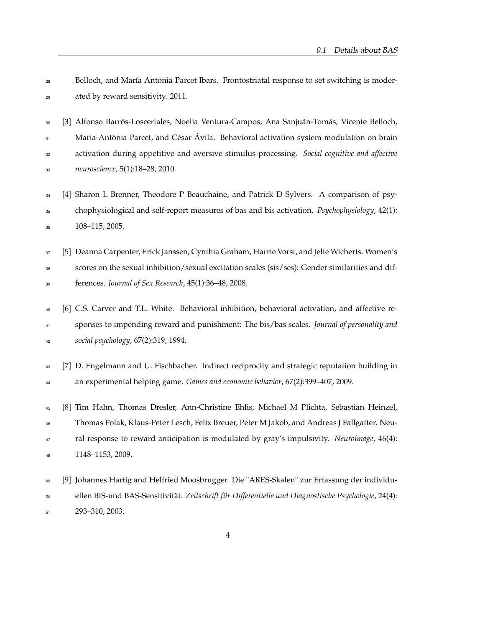| 28 | Belloch, and María Antonia Parcet Ibars. Frontostriatal response to set switching is moder-      |
|----|--------------------------------------------------------------------------------------------------|
| 29 | ated by reward sensitivity. 2011.                                                                |
| 30 | [3] Alfonso Barrós-Loscertales, Noelia Ventura-Campos, Ana Sanjuán-Tomás, Vicente Belloch,       |
| 31 | Maria-Antònia Parcet, and César Ávila. Behavioral activation system modulation on brain          |
| 32 | activation during appetitive and aversive stimulus processing. Social cognitive and affective    |
| 33 | neuroscience, 5(1):18-28, 2010.                                                                  |
| 34 | [4] Sharon L Brenner, Theodore P Beauchaine, and Patrick D Sylvers. A comparison of psy-         |
| 35 | chophysiological and self-report measures of bas and bis activation. Psychophysiology, 42(1):    |
| 36 | 108-115, 2005.                                                                                   |
| 37 | [5] Deanna Carpenter, Erick Janssen, Cynthia Graham, Harrie Vorst, and Jelte Wicherts. Women's   |
| 38 | scores on the sexual inhibition/sexual excitation scales (sis/ses): Gender similarities and dif- |
| 39 | ferences. Journal of Sex Research, 45(1):36-48, 2008.                                            |
| 40 | [6] C.S. Carver and T.L. White. Behavioral inhibition, behavioral activation, and affective re-  |
| 41 | sponses to impending reward and punishment: The bis/bas scales. Journal of personality and       |
| 42 | social psychology, 67(2):319, 1994.                                                              |
| 43 | [7] D. Engelmann and U. Fischbacher. Indirect reciprocity and strategic reputation building in   |
| 44 | an experimental helping game. Games and economic behavior, 67(2):399-407, 2009.                  |
| 45 | [8] Tim Hahn, Thomas Dresler, Ann-Christine Ehlis, Michael M Plichta, Sebastian Heinzel,         |
| 46 | Thomas Polak, Klaus-Peter Lesch, Felix Breuer, Peter M Jakob, and Andreas J Fallgatter. Neu-     |
| 47 | ral response to reward anticipation is modulated by gray's impulsivity. Neuroimage, 46(4):       |
| 48 | 1148-1153, 2009.                                                                                 |
| 49 | [9] Johannes Hartig and Helfried Moosbrugger. Die "ARES-Skalen" zur Erfassung der individu-      |

 ellen BIS-und BAS-Sensitivität. *Zeitschrift für Differentielle und Diagnostische Psychologie*, 24(4): 293–310, 2003.